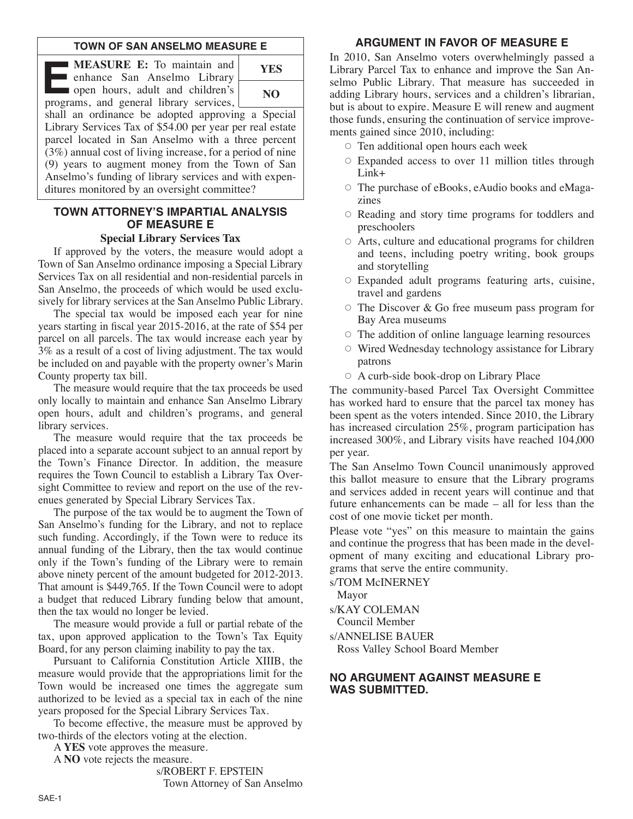## **TOWN OF SAN ANSELMO MEASURE E**

**E:** To maintain and<br>
enhance San Anselmo Library<br>
open hours, adult and children's<br>
programs and general library services **EXECURE E:** To maintain and<br> **EXECURE E:** To maintain and<br>
enhance San Anselmo Library programs, and general library services, **YES NO**



shall an ordinance be adopted approving a Special Library Services Tax of \$54.00 per year per real estate parcel located in San Anselmo with a three percent (3%) annual cost of living increase, for a period of nine (9) years to augment money from the Town of San Anselmo's funding of library services and with expenditures monitored by an oversight committee?

# **TOWN ATTORNEY'S IMPARTIAL ANALYSIS OF MEASURE E**

#### **Special Library Services Tax**

If approved by the voters, the measure would adopt a Town of San Anselmo ordinance imposing a Special Library Services Tax on all residential and non-residential parcels in San Anselmo, the proceeds of which would be used exclusively for library services at the San Anselmo Public Library.

The special tax would be imposed each year for nine years starting in fiscal year 2015-2016, at the rate of \$54 per parcel on all parcels. The tax would increase each year by 3% as a result of a cost of living adjustment. The tax would be included on and payable with the property owner's Marin County property tax bill.

The measure would require that the tax proceeds be used only locally to maintain and enhance San Anselmo Library open hours, adult and children's programs, and general library services.

The measure would require that the tax proceeds be placed into a separate account subject to an annual report by the Town's Finance Director. In addition, the measure requires the Town Council to establish a Library Tax Oversight Committee to review and report on the use of the revenues generated by Special Library Services Tax.

The purpose of the tax would be to augment the Town of San Anselmo's funding for the Library, and not to replace such funding. Accordingly, if the Town were to reduce its annual funding of the Library, then the tax would continue only if the Town's funding of the Library were to remain above ninety percent of the amount budgeted for 2012-2013. That amount is \$449,765. If the Town Council were to adopt a budget that reduced Library funding below that amount, then the tax would no longer be levied.

The measure would provide a full or partial rebate of the tax, upon approved application to the Town's Tax Equity Board, for any person claiming inability to pay the tax.

Pursuant to California Constitution Article XIIIB, the measure would provide that the appropriations limit for the Town would be increased one times the aggregate sum authorized to be levied as a special tax in each of the nine years proposed for the Special Library Services Tax.

To become effective, the measure must be approved by two-thirds of the electors voting at the election.

A **YES** vote approves the measure.

A **NO** vote rejects the measure.

s/ROBERT F. EPSTEIN

Town Attorney of San Anselmo

# **ARGUMENT IN FAVOR OF MEASURE E**

In 2010, San Anselmo voters overwhelmingly passed a Library Parcel Tax to enhance and improve the San Anselmo Public Library. That measure has succeeded in adding Library hours, services and a children's librarian, but is about to expire. Measure E will renew and augment those funds, ensuring the continuation of service improvements gained since 2010, including:

- $\circ$  Ten additional open hours each week
- $\circ$  Expanded access to over 11 million titles through Link+
- The purchase of eBooks, eAudio books and eMagazines
- Reading and story time programs for toddlers and preschoolers
- Arts, culture and educational programs for children and teens, including poetry writing, book groups and storytelling
- Expanded adult programs featuring arts, cuisine, travel and gardens
- $\circ$  The Discover & Go free museum pass program for Bay Area museums
- The addition of online language learning resources
- Wired Wednesday technology assistance for Library patrons
- A curb-side book-drop on Library Place

The community-based Parcel Tax Oversight Committee has worked hard to ensure that the parcel tax money has been spent as the voters intended. Since 2010, the Library has increased circulation 25%, program participation has increased 300%, and Library visits have reached 104,000 per year.

The San Anselmo Town Council unanimously approved this ballot measure to ensure that the Library programs and services added in recent years will continue and that future enhancements can be made – all for less than the cost of one movie ticket per month.

Please vote "yes" on this measure to maintain the gains and continue the progress that has been made in the development of many exciting and educational Library programs that serve the entire community.

s/TOM McINERNEY

Mayor

s/KAY COLEMAN

Council Member

s/ANNELISE BAUER

Ross Valley School Board Member

## **NO ARGUMENT AGAINST MEASURE E WAS SUBMITTED.**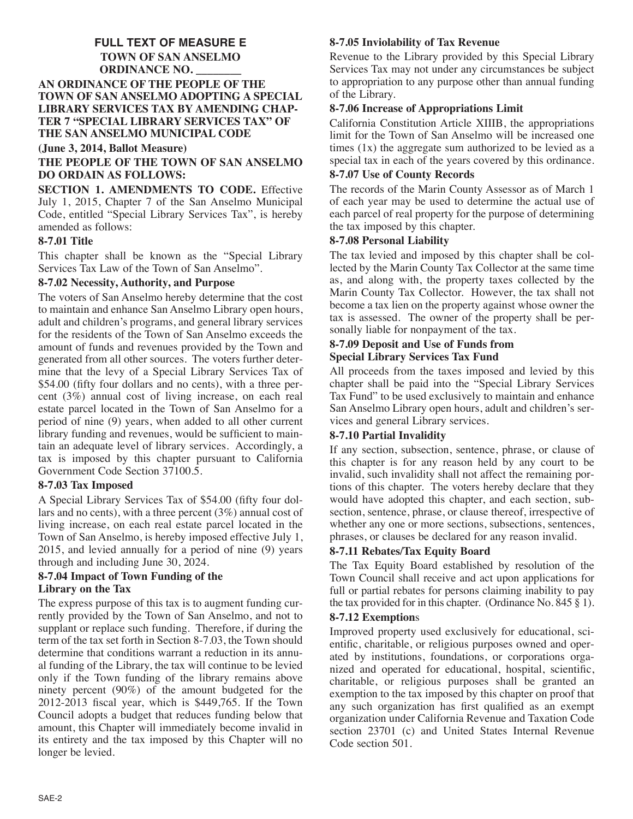# **FULL TEXT OF MEASURE E TOWN OF SAN ANSELMO ORDINANCE NO. \_\_\_\_\_\_\_\_ AN ORDINANCE OF THE PEOPLE OF THE TOWN OF SAN ANSELMO ADOPTING A SPECIAL LIBRARY SERVICES TAX BY AMENDING CHAP-TER 7 "SPECIAL LIBRARY SERVICES TAX" OF THE SAN ANSELMO MUNICIPAL CODE**

#### **(June 3, 2014, Ballot Measure)**

# **THE PEOPLE OF THE TOWN OF SAN ANSELMO DO ORDAIN AS FOLLOWS:**

**SECTION 1. AMENDMENTS TO CODE.** Effective July 1, 2015, Chapter 7 of the San Anselmo Municipal Code, entitled "Special Library Services Tax", is hereby amended as follows:

## **8-7.01 Title**

This chapter shall be known as the "Special Library Services Tax Law of the Town of San Anselmo".

## **8-7.02 Necessity, Authority, and Purpose**

The voters of San Anselmo hereby determine that the cost to maintain and enhance San Anselmo Library open hours, adult and children's programs, and general library services for the residents of the Town of San Anselmo exceeds the amount of funds and revenues provided by the Town and generated from all other sources. The voters further determine that the levy of a Special Library Services Tax of \$54.00 (fifty four dollars and no cents), with a three percent (3%) annual cost of living increase, on each real estate parcel located in the Town of San Anselmo for a period of nine (9) years, when added to all other current library funding and revenues, would be sufficient to maintain an adequate level of library services. Accordingly, a tax is imposed by this chapter pursuant to California Government Code Section 37100.5.

# **8-7.03 Tax Imposed**

A Special Library Services Tax of \$54.00 (fifty four dollars and no cents), with a three percent (3%) annual cost of living increase, on each real estate parcel located in the Town of San Anselmo, is hereby imposed effective July 1, 2015, and levied annually for a period of nine (9) years through and including June 30, 2024.

#### **8-7.04 Impact of Town Funding of the Library on the Tax**

The express purpose of this tax is to augment funding currently provided by the Town of San Anselmo, and not to supplant or replace such funding. Therefore, if during the term of the tax set forth in Section 8-7.03, the Town should determine that conditions warrant a reduction in its annual funding of the Library, the tax will continue to be levied only if the Town funding of the library remains above ninety percent (90%) of the amount budgeted for the 2012-2013 fiscal year, which is \$449,765. If the Town Council adopts a budget that reduces funding below that amount, this Chapter will immediately become invalid in its entirety and the tax imposed by this Chapter will no longer be levied.

# **8-7.05 Inviolability of Tax Revenue**

Revenue to the Library provided by this Special Library Services Tax may not under any circumstances be subject to appropriation to any purpose other than annual funding of the Library.

## **8-7.06 Increase of Appropriations Limit**

California Constitution Article XIIIB, the appropriations limit for the Town of San Anselmo will be increased one times  $(1x)$  the aggregate sum authorized to be levied as a special tax in each of the years covered by this ordinance.

## **8-7.07 Use of County Records**

The records of the Marin County Assessor as of March 1 of each year may be used to determine the actual use of each parcel of real property for the purpose of determining the tax imposed by this chapter.

## **8-7.08 Personal Liability**

The tax levied and imposed by this chapter shall be collected by the Marin County Tax Collector at the same time as, and along with, the property taxes collected by the Marin County Tax Collector. However, the tax shall not become a tax lien on the property against whose owner the tax is assessed. The owner of the property shall be personally liable for nonpayment of the tax.

## **8-7.09 Deposit and Use of Funds from Special Library Services Tax Fund**

All proceeds from the taxes imposed and levied by this chapter shall be paid into the "Special Library Services Tax Fund" to be used exclusively to maintain and enhance San Anselmo Library open hours, adult and children's services and general Library services.

# **8-7.10 Partial Invalidity**

If any section, subsection, sentence, phrase, or clause of this chapter is for any reason held by any court to be invalid, such invalidity shall not affect the remaining portions of this chapter. The voters hereby declare that they would have adopted this chapter, and each section, subsection, sentence, phrase, or clause thereof, irrespective of whether any one or more sections, subsections, sentences, phrases, or clauses be declared for any reason invalid.

# **8-7.11 Rebates/Tax Equity Board**

The Tax Equity Board established by resolution of the Town Council shall receive and act upon applications for full or partial rebates for persons claiming inability to pay the tax provided for in this chapter. (Ordinance No. 845 § 1).

## **8-7.12 Exemption**s

Improved property used exclusively for educational, scientific, charitable, or religious purposes owned and operated by institutions, foundations, or corporations organized and operated for educational, hospital, scientific, charitable, or religious purposes shall be granted an exemption to the tax imposed by this chapter on proof that any such organization has first qualified as an exempt organization under California Revenue and Taxation Code section 23701 (c) and United States Internal Revenue Code section 501.